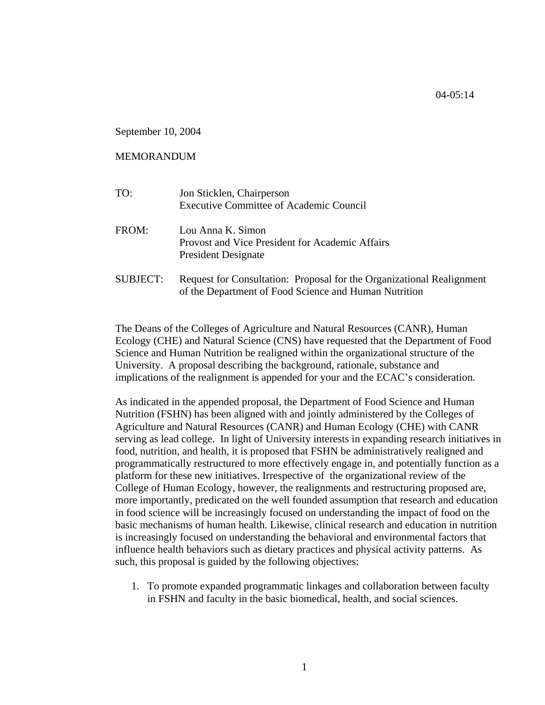04-05:14

September 10, 2004

## MEMORANDUM

| TO:      | Jon Sticklen, Chairperson<br><b>Executive Committee of Academic Council</b>                                                    |
|----------|--------------------------------------------------------------------------------------------------------------------------------|
| FROM:    | Lou Anna K. Simon<br>Provost and Vice President for Academic Affairs<br><b>President Designate</b>                             |
| SUBJECT: | Request for Consultation: Proposal for the Organizational Realignment<br>of the Department of Food Science and Human Nutrition |

The Deans of the Colleges of Agriculture and Natural Resources (CANR), Human Ecology (CHE) and Natural Science (CNS) have requested that the Department of Food Science and Human Nutrition be realigned within the organizational structure of the University. A proposal describing the background, rationale, substance and implications of the realignment is appended for your and the ECAC's consideration.

As indicated in the appended proposal, the Department of Food Science and Human Nutrition (FSHN) has been aligned with and jointly administered by the Colleges of Agriculture and Natural Resources (CANR) and Human Ecology (CHE) with CANR serving as lead college. In light of University interests in expanding research initiatives in food, nutrition, and health, it is proposed that FSHN be administratively realigned and programmatically restructured to more effectively engage in, and potentially function as a platform for these new initiatives. Irrespective of the organizational review of the College of Human Ecology, however, the realignments and restructuring proposed are, more importantly, predicated on the well founded assumption that research and education in food science will be increasingly focused on understanding the impact of food on the basic mechanisms of human health. Likewise, clinical research and education in nutrition is increasingly focused on understanding the behavioral and environmental factors that influence health behaviors such as dietary practices and physical activity patterns. As such, this proposal is guided by the following objectives:

1. To promote expanded programmatic linkages and collaboration between faculty in FSHN and faculty in the basic biomedical, health, and social sciences.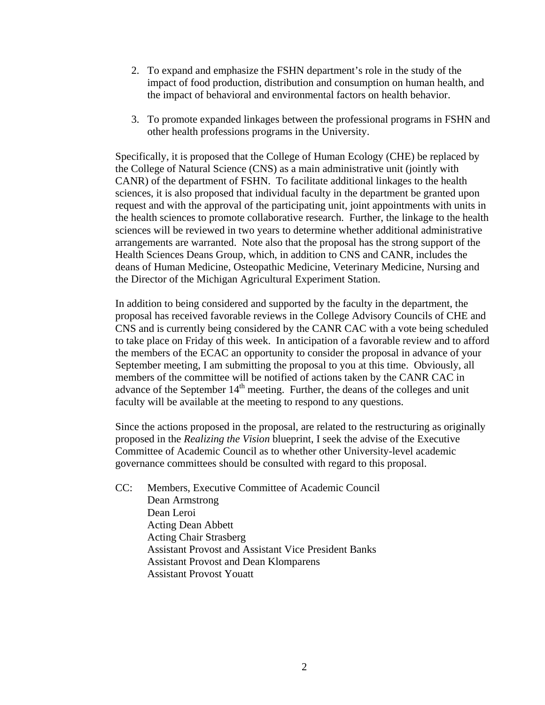- 2. To expand and emphasize the FSHN department's role in the study of the impact of food production, distribution and consumption on human health, and the impact of behavioral and environmental factors on health behavior.
- 3. To promote expanded linkages between the professional programs in FSHN and other health professions programs in the University.

Specifically, it is proposed that the College of Human Ecology (CHE) be replaced by the College of Natural Science (CNS) as a main administrative unit (jointly with CANR) of the department of FSHN. To facilitate additional linkages to the health sciences, it is also proposed that individual faculty in the department be granted upon request and with the approval of the participating unit, joint appointments with units in the health sciences to promote collaborative research. Further, the linkage to the health sciences will be reviewed in two years to determine whether additional administrative arrangements are warranted. Note also that the proposal has the strong support of the Health Sciences Deans Group, which, in addition to CNS and CANR, includes the deans of Human Medicine, Osteopathic Medicine, Veterinary Medicine, Nursing and the Director of the Michigan Agricultural Experiment Station.

In addition to being considered and supported by the faculty in the department, the proposal has received favorable reviews in the College Advisory Councils of CHE and CNS and is currently being considered by the CANR CAC with a vote being scheduled to take place on Friday of this week. In anticipation of a favorable review and to afford the members of the ECAC an opportunity to consider the proposal in advance of your September meeting, I am submitting the proposal to you at this time. Obviously, all members of the committee will be notified of actions taken by the CANR CAC in advance of the September  $14<sup>th</sup>$  meeting. Further, the deans of the colleges and unit faculty will be available at the meeting to respond to any questions.

Since the actions proposed in the proposal, are related to the restructuring as originally proposed in the *Realizing the Vision* blueprint, I seek the advise of the Executive Committee of Academic Council as to whether other University-level academic governance committees should be consulted with regard to this proposal.

CC: Members, Executive Committee of Academic Council Dean Armstrong Dean Leroi Acting Dean Abbett Acting Chair Strasberg Assistant Provost and Assistant Vice President Banks Assistant Provost and Dean Klomparens Assistant Provost Youatt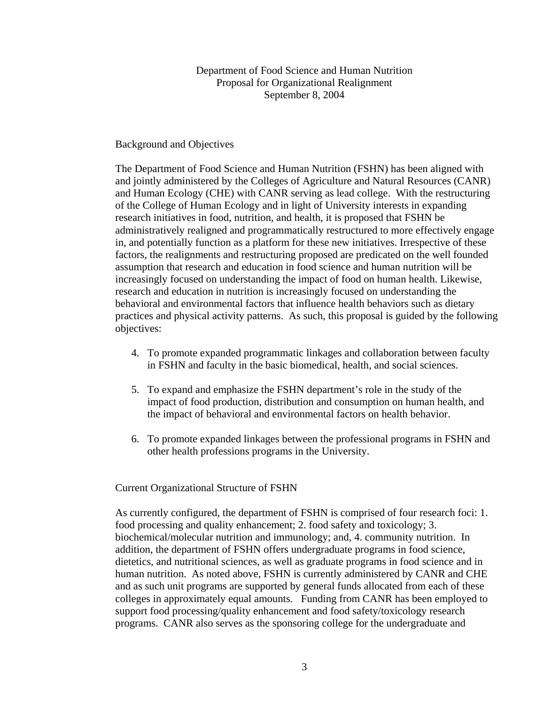Department of Food Science and Human Nutrition Proposal for Organizational Realignment September 8, 2004

#### Background and Objectives

The Department of Food Science and Human Nutrition (FSHN) has been aligned with and jointly administered by the Colleges of Agriculture and Natural Resources (CANR) and Human Ecology (CHE) with CANR serving as lead college. With the restructuring of the College of Human Ecology and in light of University interests in expanding research initiatives in food, nutrition, and health, it is proposed that FSHN be administratively realigned and programmatically restructured to more effectively engage in, and potentially function as a platform for these new initiatives. Irrespective of these factors, the realignments and restructuring proposed are predicated on the well founded assumption that research and education in food science and human nutrition will be increasingly focused on understanding the impact of food on human health. Likewise, research and education in nutrition is increasingly focused on understanding the behavioral and environmental factors that influence health behaviors such as dietary practices and physical activity patterns. As such, this proposal is guided by the following objectives:

- 4. To promote expanded programmatic linkages and collaboration between faculty in FSHN and faculty in the basic biomedical, health, and social sciences.
- 5. To expand and emphasize the FSHN department's role in the study of the impact of food production, distribution and consumption on human health, and the impact of behavioral and environmental factors on health behavior.
- 6. To promote expanded linkages between the professional programs in FSHN and other health professions programs in the University.

### Current Organizational Structure of FSHN

As currently configured, the department of FSHN is comprised of four research foci: 1. food processing and quality enhancement; 2. food safety and toxicology; 3. biochemical/molecular nutrition and immunology; and, 4. community nutrition. In addition, the department of FSHN offers undergraduate programs in food science, dietetics, and nutritional sciences, as well as graduate programs in food science and in human nutrition. As noted above, FSHN is currently administered by CANR and CHE and as such unit programs are supported by general funds allocated from each of these colleges in approximately equal amounts. Funding from CANR has been employed to support food processing/quality enhancement and food safety/toxicology research programs. CANR also serves as the sponsoring college for the undergraduate and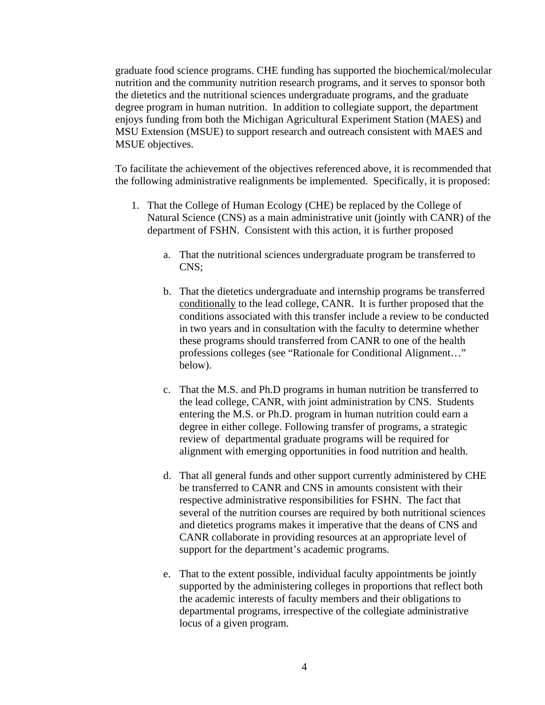graduate food science programs. CHE funding has supported the biochemical/molecular nutrition and the community nutrition research programs, and it serves to sponsor both the dietetics and the nutritional sciences undergraduate programs, and the graduate degree program in human nutrition. In addition to collegiate support, the department enjoys funding from both the Michigan Agricultural Experiment Station (MAES) and MSU Extension (MSUE) to support research and outreach consistent with MAES and MSUE objectives.

To facilitate the achievement of the objectives referenced above, it is recommended that the following administrative realignments be implemented. Specifically, it is proposed:

- 1. That the College of Human Ecology (CHE) be replaced by the College of Natural Science (CNS) as a main administrative unit (jointly with CANR) of the department of FSHN. Consistent with this action, it is further proposed
	- a. That the nutritional sciences undergraduate program be transferred to CNS;
	- b. That the dietetics undergraduate and internship programs be transferred conditionally to the lead college, CANR. It is further proposed that the conditions associated with this transfer include a review to be conducted in two years and in consultation with the faculty to determine whether these programs should transferred from CANR to one of the health professions colleges (see "Rationale for Conditional Alignment…" below).
	- c. That the M.S. and Ph.D programs in human nutrition be transferred to the lead college, CANR, with joint administration by CNS. Students entering the M.S. or Ph.D. program in human nutrition could earn a degree in either college. Following transfer of programs, a strategic review of departmental graduate programs will be required for alignment with emerging opportunities in food nutrition and health.
	- d. That all general funds and other support currently administered by CHE be transferred to CANR and CNS in amounts consistent with their respective administrative responsibilities for FSHN. The fact that several of the nutrition courses are required by both nutritional sciences and dietetics programs makes it imperative that the deans of CNS and CANR collaborate in providing resources at an appropriate level of support for the department's academic programs.
	- e. That to the extent possible, individual faculty appointments be jointly supported by the administering colleges in proportions that reflect both the academic interests of faculty members and their obligations to departmental programs, irrespective of the collegiate administrative locus of a given program.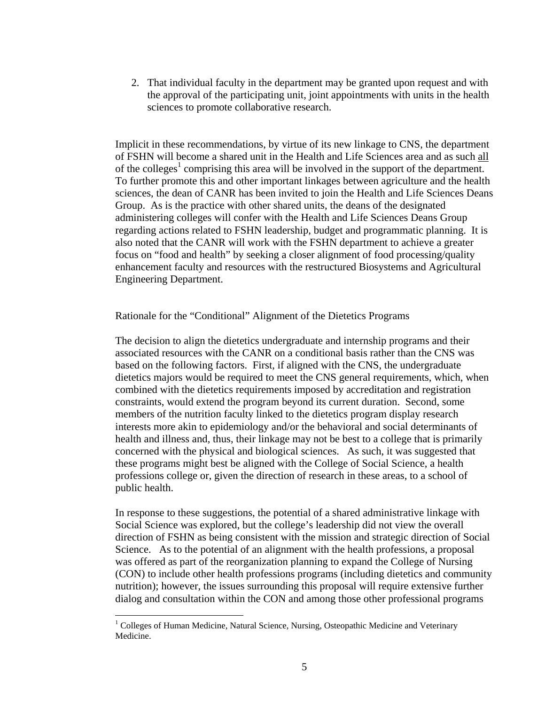2. That individual faculty in the department may be granted upon request and with the approval of the participating unit, joint appointments with units in the health sciences to promote collaborative research.

Implicit in these recommendations, by virtue of its new linkage to CNS, the department of FSHN will become a shared unit in the Health and Life Sciences area and as such all of the colleges<sup>1</sup> comprising this area will be involved in the support of the department. To further promote this and other important linkages between agriculture and the health sciences, the dean of CANR has been invited to join the Health and Life Sciences Deans Group. As is the practice with other shared units, the deans of the designated administering colleges will confer with the Health and Life Sciences Deans Group regarding actions related to FSHN leadership, budget and programmatic planning. It is also noted that the CANR will work with the FSHN department to achieve a greater focus on "food and health" by seeking a closer alignment of food processing/quality enhancement faculty and resources with the restructured Biosystems and Agricultural Engineering Department.

Rationale for the "Conditional" Alignment of the Dietetics Programs

The decision to align the dietetics undergraduate and internship programs and their associated resources with the CANR on a conditional basis rather than the CNS was based on the following factors. First, if aligned with the CNS, the undergraduate dietetics majors would be required to meet the CNS general requirements, which, when combined with the dietetics requirements imposed by accreditation and registration constraints, would extend the program beyond its current duration. Second, some members of the nutrition faculty linked to the dietetics program display research interests more akin to epidemiology and/or the behavioral and social determinants of health and illness and, thus, their linkage may not be best to a college that is primarily concerned with the physical and biological sciences. As such, it was suggested that these programs might best be aligned with the College of Social Science, a health professions college or, given the direction of research in these areas, to a school of public health.

In response to these suggestions, the potential of a shared administrative linkage with Social Science was explored, but the college's leadership did not view the overall direction of FSHN as being consistent with the mission and strategic direction of Social Science. As to the potential of an alignment with the health professions, a proposal was offered as part of the reorganization planning to expand the College of Nursing (CON) to include other health professions programs (including dietetics and community nutrition); however, the issues surrounding this proposal will require extensive further dialog and consultation within the CON and among those other professional programs

TREES COLLET COLLET COLLET COLLET COLLET COLLET COLLET COLLET COLLET COLLET COLLET COLLET COLLET COLLET COLLET COLLET COLLET COLLET COLLET COLLET COLLET COLLET COLLET COLLET COLLET COLLET COLLET COLLET COLLET COLLET COLLET Medicine.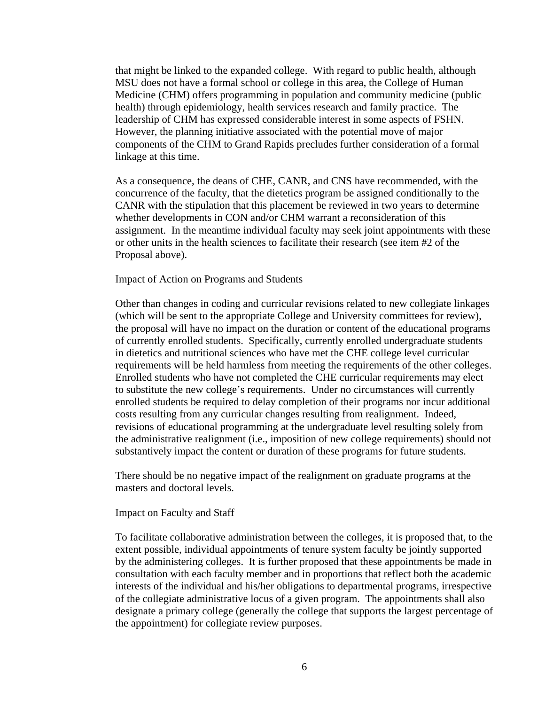that might be linked to the expanded college. With regard to public health, although MSU does not have a formal school or college in this area, the College of Human Medicine (CHM) offers programming in population and community medicine (public health) through epidemiology, health services research and family practice. The leadership of CHM has expressed considerable interest in some aspects of FSHN. However, the planning initiative associated with the potential move of major components of the CHM to Grand Rapids precludes further consideration of a formal linkage at this time.

As a consequence, the deans of CHE, CANR, and CNS have recommended, with the concurrence of the faculty, that the dietetics program be assigned conditionally to the CANR with the stipulation that this placement be reviewed in two years to determine whether developments in CON and/or CHM warrant a reconsideration of this assignment. In the meantime individual faculty may seek joint appointments with these or other units in the health sciences to facilitate their research (see item #2 of the Proposal above).

Impact of Action on Programs and Students

Other than changes in coding and curricular revisions related to new collegiate linkages (which will be sent to the appropriate College and University committees for review), the proposal will have no impact on the duration or content of the educational programs of currently enrolled students. Specifically, currently enrolled undergraduate students in dietetics and nutritional sciences who have met the CHE college level curricular requirements will be held harmless from meeting the requirements of the other colleges. Enrolled students who have not completed the CHE curricular requirements may elect to substitute the new college's requirements. Under no circumstances will currently enrolled students be required to delay completion of their programs nor incur additional costs resulting from any curricular changes resulting from realignment. Indeed, revisions of educational programming at the undergraduate level resulting solely from the administrative realignment (i.e., imposition of new college requirements) should not substantively impact the content or duration of these programs for future students.

There should be no negative impact of the realignment on graduate programs at the masters and doctoral levels.

Impact on Faculty and Staff

To facilitate collaborative administration between the colleges, it is proposed that, to the extent possible, individual appointments of tenure system faculty be jointly supported by the administering colleges. It is further proposed that these appointments be made in consultation with each faculty member and in proportions that reflect both the academic interests of the individual and his/her obligations to departmental programs, irrespective of the collegiate administrative locus of a given program. The appointments shall also designate a primary college (generally the college that supports the largest percentage of the appointment) for collegiate review purposes.